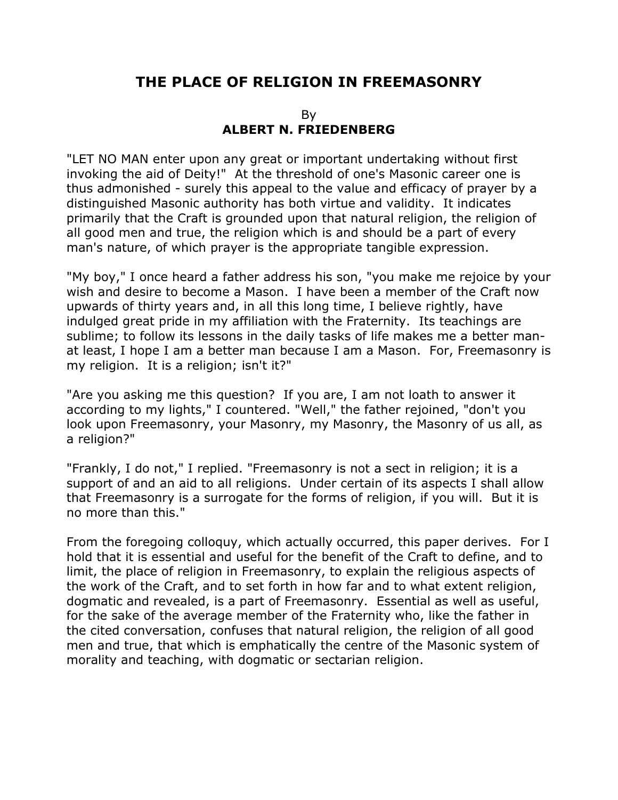# **THE PLACE OF RELIGION IN FREEMASONRY**

#### By **ALBERT N. FRIEDENBERG**

"LET NO MAN enter upon any great or important undertaking without first invoking the aid of Deity!" At the threshold of one's Masonic career one is thus admonished - surely this appeal to the value and efficacy of prayer by a distinguished Masonic authority has both virtue and validity. It indicates primarily that the Craft is grounded upon that natural religion, the religion of all good men and true, the religion which is and should be a part of every man's nature, of which prayer is the appropriate tangible expression.

"My boy," I once heard a father address his son, "you make me rejoice by your wish and desire to become a Mason. I have been a member of the Craft now upwards of thirty years and, in all this long time, I believe rightly, have indulged great pride in my affiliation with the Fraternity. Its teachings are sublime; to follow its lessons in the daily tasks of life makes me a better manat least, I hope I am a better man because I am a Mason. For, Freemasonry is my religion. It is a religion; isn't it?"

"Are you asking me this question? If you are, I am not loath to answer it according to my lights," I countered. "Well," the father rejoined, "don't you look upon Freemasonry, your Masonry, my Masonry, the Masonry of us all, as a religion?"

"Frankly, I do not," I replied. "Freemasonry is not a sect in religion; it is a support of and an aid to all religions. Under certain of its aspects I shall allow that Freemasonry is a surrogate for the forms of religion, if you will. But it is no more than this."

From the foregoing colloquy, which actually occurred, this paper derives. For I hold that it is essential and useful for the benefit of the Craft to define, and to limit, the place of religion in Freemasonry, to explain the religious aspects of the work of the Craft, and to set forth in how far and to what extent religion, dogmatic and revealed, is a part of Freemasonry. Essential as well as useful, for the sake of the average member of the Fraternity who, like the father in the cited conversation, confuses that natural religion, the religion of all good men and true, that which is emphatically the centre of the Masonic system of morality and teaching, with dogmatic or sectarian religion.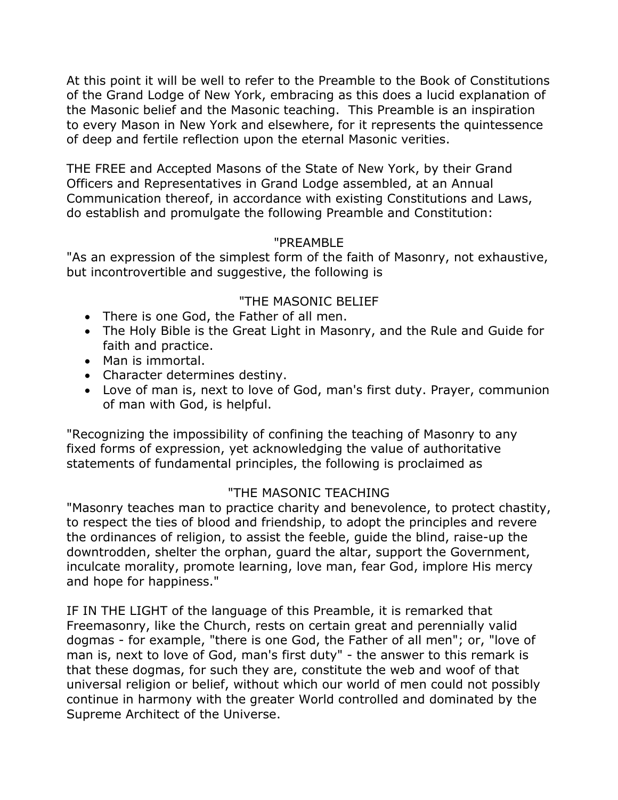At this point it will be well to refer to the Preamble to the Book of Constitutions of the Grand Lodge of New York, embracing as this does a lucid explanation of the Masonic belief and the Masonic teaching. This Preamble is an inspiration to every Mason in New York and elsewhere, for it represents the quintessence of deep and fertile reflection upon the eternal Masonic verities.

THE FREE and Accepted Masons of the State of New York, by their Grand Officers and Representatives in Grand Lodge assembled, at an Annual Communication thereof, in accordance with existing Constitutions and Laws, do establish and promulgate the following Preamble and Constitution:

### "PREAMBLE

"As an expression of the simplest form of the faith of Masonry, not exhaustive, but incontrovertible and suggestive, the following is

# "THE MASONIC BELIEF

- There is one God, the Father of all men.
- The Holy Bible is the Great Light in Masonry, and the Rule and Guide for faith and practice.
- Man is immortal.
- Character determines destiny.
- Love of man is, next to love of God, man's first duty. Prayer, communion of man with God, is helpful.

"Recognizing the impossibility of confining the teaching of Masonry to any fixed forms of expression, yet acknowledging the value of authoritative statements of fundamental principles, the following is proclaimed as

# "THE MASONIC TEACHING

"Masonry teaches man to practice charity and benevolence, to protect chastity, to respect the ties of blood and friendship, to adopt the principles and revere the ordinances of religion, to assist the feeble, guide the blind, raise-up the downtrodden, shelter the orphan, guard the altar, support the Government, inculcate morality, promote learning, love man, fear God, implore His mercy and hope for happiness."

IF IN THE LIGHT of the language of this Preamble, it is remarked that Freemasonry, like the Church, rests on certain great and perennially valid dogmas - for example, "there is one God, the Father of all men"; or, "love of man is, next to love of God, man's first duty" - the answer to this remark is that these dogmas, for such they are, constitute the web and woof of that universal religion or belief, without which our world of men could not possibly continue in harmony with the greater World controlled and dominated by the Supreme Architect of the Universe.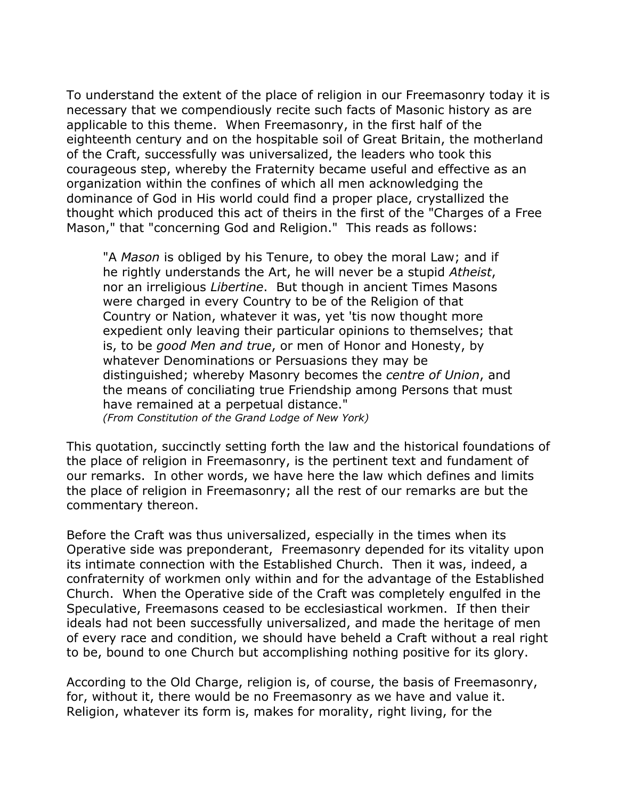To understand the extent of the place of religion in our Freemasonry today it is necessary that we compendiously recite such facts of Masonic history as are applicable to this theme. When Freemasonry, in the first half of the eighteenth century and on the hospitable soil of Great Britain, the motherland of the Craft, successfully was universalized, the leaders who took this courageous step, whereby the Fraternity became useful and effective as an organization within the confines of which all men acknowledging the dominance of God in His world could find a proper place, crystallized the thought which produced this act of theirs in the first of the "Charges of a Free Mason," that "concerning God and Religion." This reads as follows:

"A *Mason* is obliged by his Tenure, to obey the moral Law; and if he rightly understands the Art, he will never be a stupid *Atheist*, nor an irreligious *Libertine*. But though in ancient Times Masons were charged in every Country to be of the Religion of that Country or Nation, whatever it was, yet 'tis now thought more expedient only leaving their particular opinions to themselves; that is, to be *good Men and true*, or men of Honor and Honesty, by whatever Denominations or Persuasions they may be distinguished; whereby Masonry becomes the *centre of Union*, and the means of conciliating true Friendship among Persons that must have remained at a perpetual distance." *(From Constitution of the Grand Lodge of New York)* 

This quotation, succinctly setting forth the law and the historical foundations of the place of religion in Freemasonry, is the pertinent text and fundament of our remarks. In other words, we have here the law which defines and limits the place of religion in Freemasonry; all the rest of our remarks are but the commentary thereon.

Before the Craft was thus universalized, especially in the times when its Operative side was preponderant, Freemasonry depended for its vitality upon its intimate connection with the Established Church. Then it was, indeed, a confraternity of workmen only within and for the advantage of the Established Church. When the Operative side of the Craft was completely engulfed in the Speculative, Freemasons ceased to be ecclesiastical workmen. If then their ideals had not been successfully universalized, and made the heritage of men of every race and condition, we should have beheld a Craft without a real right to be, bound to one Church but accomplishing nothing positive for its glory.

According to the Old Charge, religion is, of course, the basis of Freemasonry, for, without it, there would be no Freemasonry as we have and value it. Religion, whatever its form is, makes for morality, right living, for the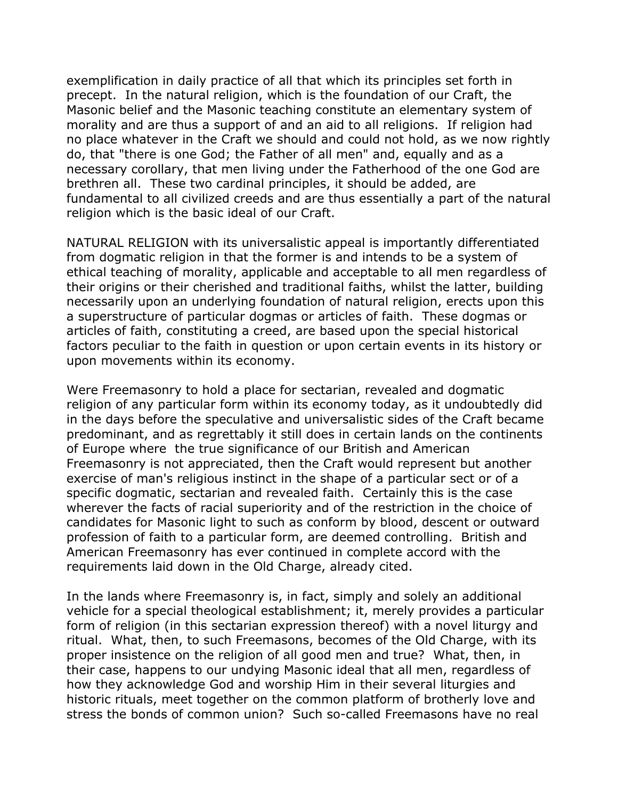exemplification in daily practice of all that which its principles set forth in precept. In the natural religion, which is the foundation of our Craft, the Masonic belief and the Masonic teaching constitute an elementary system of morality and are thus a support of and an aid to all religions. If religion had no place whatever in the Craft we should and could not hold, as we now rightly do, that "there is one God; the Father of all men" and, equally and as a necessary corollary, that men living under the Fatherhood of the one God are brethren all. These two cardinal principles, it should be added, are fundamental to all civilized creeds and are thus essentially a part of the natural religion which is the basic ideal of our Craft.

NATURAL RELIGION with its universalistic appeal is importantly differentiated from dogmatic religion in that the former is and intends to be a system of ethical teaching of morality, applicable and acceptable to all men regardless of their origins or their cherished and traditional faiths, whilst the latter, building necessarily upon an underlying foundation of natural religion, erects upon this a superstructure of particular dogmas or articles of faith. These dogmas or articles of faith, constituting a creed, are based upon the special historical factors peculiar to the faith in question or upon certain events in its history or upon movements within its economy.

Were Freemasonry to hold a place for sectarian, revealed and dogmatic religion of any particular form within its economy today, as it undoubtedly did in the days before the speculative and universalistic sides of the Craft became predominant, and as regrettably it still does in certain lands on the continents of Europe where the true significance of our British and American Freemasonry is not appreciated, then the Craft would represent but another exercise of man's religious instinct in the shape of a particular sect or of a specific dogmatic, sectarian and revealed faith. Certainly this is the case wherever the facts of racial superiority and of the restriction in the choice of candidates for Masonic light to such as conform by blood, descent or outward profession of faith to a particular form, are deemed controlling. British and American Freemasonry has ever continued in complete accord with the requirements laid down in the Old Charge, already cited.

In the lands where Freemasonry is, in fact, simply and solely an additional vehicle for a special theological establishment; it, merely provides a particular form of religion (in this sectarian expression thereof) with a novel liturgy and ritual. What, then, to such Freemasons, becomes of the Old Charge, with its proper insistence on the religion of all good men and true? What, then, in their case, happens to our undying Masonic ideal that all men, regardless of how they acknowledge God and worship Him in their several liturgies and historic rituals, meet together on the common platform of brotherly love and stress the bonds of common union? Such so-called Freemasons have no real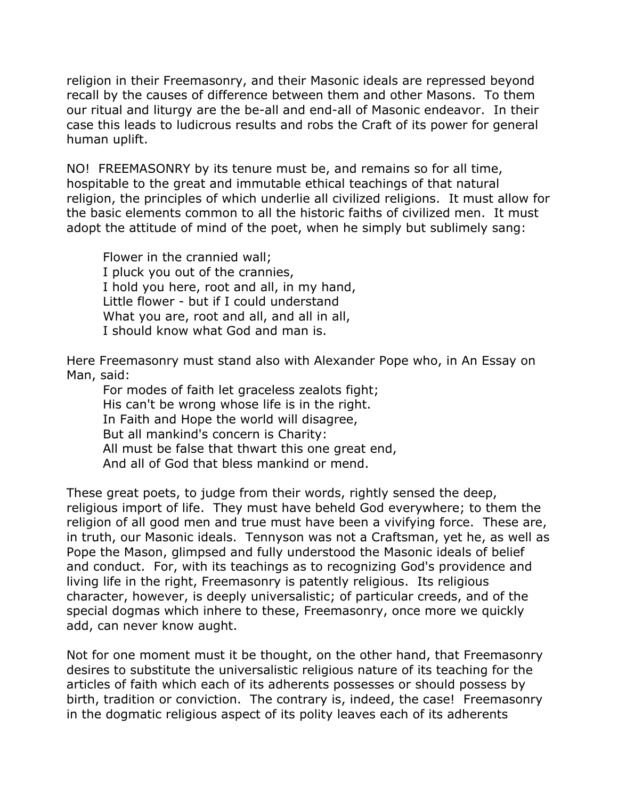religion in their Freemasonry, and their Masonic ideals are repressed beyond recall by the causes of difference between them and other Masons. To them our ritual and liturgy are the be-all and end-all of Masonic endeavor. In their case this leads to ludicrous results and robs the Craft of its power for general human uplift.

NO! FREEMASONRY by its tenure must be, and remains so for all time, hospitable to the great and immutable ethical teachings of that natural religion, the principles of which underlie all civilized religions. It must allow for the basic elements common to all the historic faiths of civilized men. It must adopt the attitude of mind of the poet, when he simply but sublimely sang:

Flower in the crannied wall; I pluck you out of the crannies, I hold you here, root and all, in my hand, Little flower - but if I could understand What you are, root and all, and all in all, I should know what God and man is.

Here Freemasonry must stand also with Alexander Pope who, in An Essay on Man, said:

For modes of faith let graceless zealots fight; His can't be wrong whose life is in the right. In Faith and Hope the world will disagree, But all mankind's concern is Charity: All must be false that thwart this one great end, And all of God that bless mankind or mend.

These great poets, to judge from their words, rightly sensed the deep, religious import of life. They must have beheld God everywhere; to them the religion of all good men and true must have been a vivifying force. These are, in truth, our Masonic ideals. Tennyson was not a Craftsman, yet he, as well as Pope the Mason, glimpsed and fully understood the Masonic ideals of belief and conduct. For, with its teachings as to recognizing God's providence and living life in the right, Freemasonry is patently religious. Its religious character, however, is deeply universalistic; of particular creeds, and of the special dogmas which inhere to these, Freemasonry, once more we quickly add, can never know aught.

Not for one moment must it be thought, on the other hand, that Freemasonry desires to substitute the universalistic religious nature of its teaching for the articles of faith which each of its adherents possesses or should possess by birth, tradition or conviction. The contrary is, indeed, the case! Freemasonry in the dogmatic religious aspect of its polity leaves each of its adherents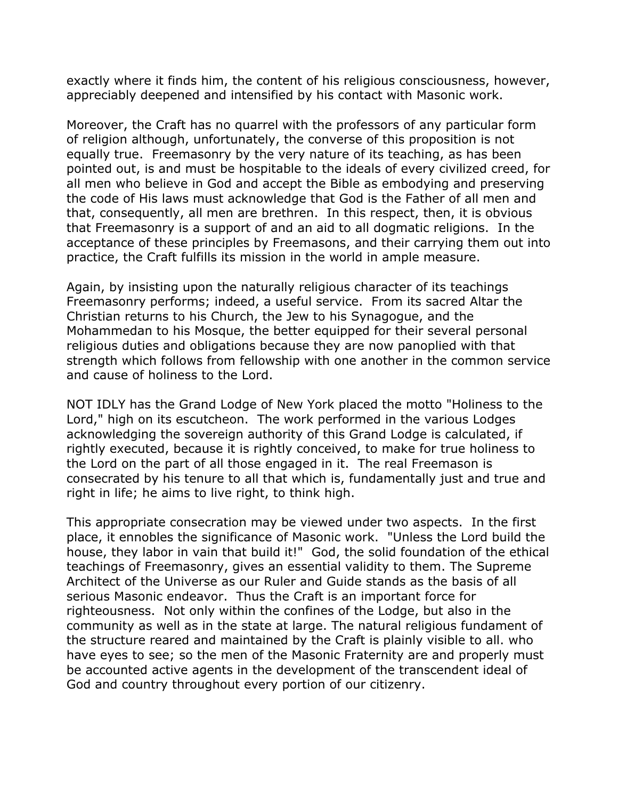exactly where it finds him, the content of his religious consciousness, however, appreciably deepened and intensified by his contact with Masonic work.

Moreover, the Craft has no quarrel with the professors of any particular form of religion although, unfortunately, the converse of this proposition is not equally true. Freemasonry by the very nature of its teaching, as has been pointed out, is and must be hospitable to the ideals of every civilized creed, for all men who believe in God and accept the Bible as embodying and preserving the code of His laws must acknowledge that God is the Father of all men and that, consequently, all men are brethren. In this respect, then, it is obvious that Freemasonry is a support of and an aid to all dogmatic religions. In the acceptance of these principles by Freemasons, and their carrying them out into practice, the Craft fulfills its mission in the world in ample measure.

Again, by insisting upon the naturally religious character of its teachings Freemasonry performs; indeed, a useful service. From its sacred Altar the Christian returns to his Church, the Jew to his Synagogue, and the Mohammedan to his Mosque, the better equipped for their several personal religious duties and obligations because they are now panoplied with that strength which follows from fellowship with one another in the common service and cause of holiness to the Lord.

NOT IDLY has the Grand Lodge of New York placed the motto "Holiness to the Lord," high on its escutcheon. The work performed in the various Lodges acknowledging the sovereign authority of this Grand Lodge is calculated, if rightly executed, because it is rightly conceived, to make for true holiness to the Lord on the part of all those engaged in it. The real Freemason is consecrated by his tenure to all that which is, fundamentally just and true and right in life; he aims to live right, to think high.

This appropriate consecration may be viewed under two aspects. In the first place, it ennobles the significance of Masonic work. "Unless the Lord build the house, they labor in vain that build it!" God, the solid foundation of the ethical teachings of Freemasonry, gives an essential validity to them. The Supreme Architect of the Universe as our Ruler and Guide stands as the basis of all serious Masonic endeavor. Thus the Craft is an important force for righteousness. Not only within the confines of the Lodge, but also in the community as well as in the state at large. The natural religious fundament of the structure reared and maintained by the Craft is plainly visible to all. who have eyes to see; so the men of the Masonic Fraternity are and properly must be accounted active agents in the development of the transcendent ideal of God and country throughout every portion of our citizenry.